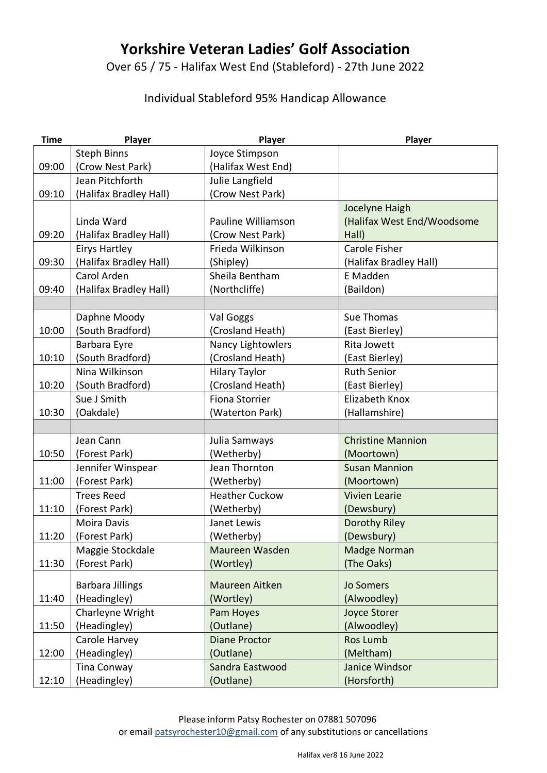## **Yorkshire Veteran Ladies' Golf Association**

Over 65 / 75 - Halifax West End (Stableford) - 27th June 2022

## Individual Stableford 95% Handicap Allowance

| <b>Time</b> | Player                  | Player                   | Player                             |
|-------------|-------------------------|--------------------------|------------------------------------|
|             | <b>Steph Binns</b>      | Joyce Stimpson           |                                    |
| 09:00       | (Crow Nest Park)        | (Halifax West End)       |                                    |
|             | Jean Pitchforth         | Julie Langfield          |                                    |
| 09:10       | (Halifax Bradley Hall)  | (Crow Nest Park)         |                                    |
|             |                         |                          | Jocelyne Haigh                     |
|             | Linda Ward              | Pauline Williamson       | (Halifax West End/Woodsome         |
| 09:20       | (Halifax Bradley Hall)  | (Crow Nest Park)         | Hall)                              |
|             | <b>Eirys Hartley</b>    | Frieda Wilkinson         | <b>Carole Fisher</b>               |
| 09:30       | (Halifax Bradley Hall)  | (Shipley)                | (Halifax Bradley Hall)             |
|             | Carol Arden             | Sheila Bentham           | E Madden                           |
| 09:40       | (Halifax Bradley Hall)  | (Northcliffe)            | (Baildon)                          |
|             |                         |                          |                                    |
|             | Daphne Moody            | Val Goggs                | Sue Thomas                         |
| 10:00       | (South Bradford)        | (Crosland Heath)         | (East Bierley)                     |
|             | Barbara Eyre            | <b>Nancy Lightowlers</b> | Rita Jowett                        |
| 10:10       | (South Bradford)        | (Crosland Heath)         | (East Bierley)                     |
|             | Nina Wilkinson          | <b>Hilary Taylor</b>     | <b>Ruth Senior</b>                 |
| 10:20       | (South Bradford)        | (Crosland Heath)         | (East Bierley)                     |
|             | Sue J Smith             | <b>Fiona Storrier</b>    | Elizabeth Knox                     |
| 10:30       | (Oakdale)               | (Waterton Park)          | (Hallamshire)                      |
|             |                         |                          |                                    |
|             | Jean Cann               | Julia Samways            | <b>Christine Mannion</b>           |
| 10:50       | (Forest Park)           | (Wetherby)               | (Moortown)                         |
|             | Jennifer Winspear       | Jean Thornton            | <b>Susan Mannion</b>               |
| 11:00       | (Forest Park)           | (Wetherby)               | (Moortown)                         |
|             | <b>Trees Reed</b>       | <b>Heather Cuckow</b>    | <b>Vivien Learie</b>               |
| 11:10       | (Forest Park)           | (Wetherby)               | (Dewsbury)                         |
|             | <b>Moira Davis</b>      | Janet Lewis              | Dorothy Riley                      |
| 11:20       | (Forest Park)           | (Wetherby)               | (Dewsbury)                         |
|             | Maggie Stockdale        | Maureen Wasden           | Madge Norman                       |
| 11:30       | (Forest Park)           | (Wortley)                | (The Oaks)                         |
|             |                         |                          |                                    |
|             | <b>Barbara Jillings</b> | Maureen Aitken           | <b>Jo Somers</b>                   |
| 11:40       | (Headingley)            | (Wortley)                | (Alwoodley)<br><b>Joyce Storer</b> |
|             | Charleyne Wright        | Pam Hoyes                |                                    |
| 11:50       | (Headingley)            | (Outlane)                | (Alwoodley)                        |
|             | Carole Harvey           | <b>Diane Proctor</b>     | Ros Lumb                           |
| 12:00       | (Headingley)            | (Outlane)                | (Meltham)                          |
|             | Tina Conway             | Sandra Eastwood          | Janice Windsor                     |
| 12:10       | (Headingley)            | (Outlane)                | (Horsforth)                        |